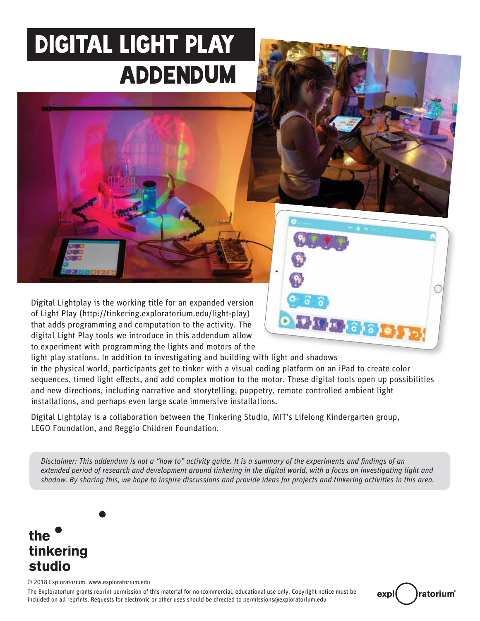### DIGITAL LIGHT PLAY ADDENDUM



Digital Lightplay is the working title for an expanded version of Light Play (http://tinkering.exploratorium.edu/light-play) that adds programming and computation to the activity. The digital Light Play tools we introduce in this addendum allow to experiment with programming the lights and motors of the

light play stations. In addition to investigating and building with light and shadows

in the physical world, participants get to tinker with a visual coding platform on an iPad to create color sequences, timed light effects, and add complex motion to the motor. These digital tools open up possibilities and new directions, including narrative and storytelling, puppetry, remote controlled ambient light installations, and perhaps even large scale immersive installations.

Digital Lightplay is a collaboration between the Tinkering Studio, MIT's Lifelong Kindergarten group, LEGO Foundation, and Reggio Children Foundation.

*Disclaimer: This addendum is not a "how to" activity guide. It is a summary of the experiments and findings of an extended period of research and development around tinkering in the digital world, with a focus on investigating light and shadow. By sharing this, we hope to inspire discussions and provide ideas for projects and tinkering activities in this area.* 

### the tinkering studio

© 2018 Exploratorium. www.exploratorium.edu

The Exploratorium grants reprint permission of this material for noncommercial, educational use only. Copyright notice must be included on all reprints. Requests for electronic or other uses should be directed to permissions@exploratorium.edu



 $9 - 6 - 8$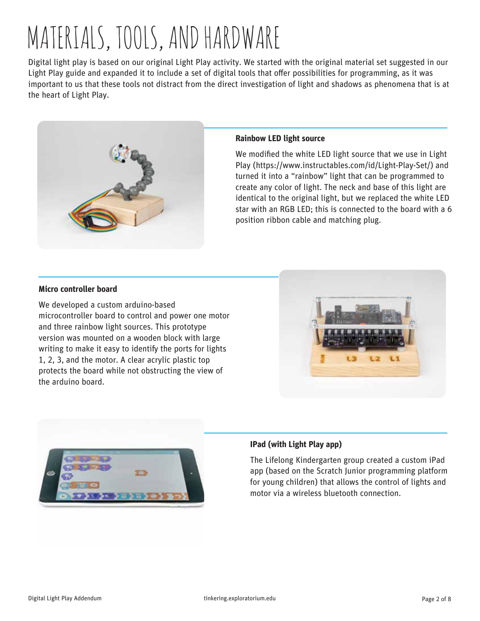# MATERIALS, TOOLS, AND HARDWARE

Digital light play is based on our original Light Play activity. We started with the original material set suggested in our Light Play guide and expanded it to include a set of digital tools that offer possibilities for programming, as it was important to us that these tools not distract from the direct investigation of light and shadows as phenomena that is at the heart of Light Play.



#### **Rainbow LED light source**

We modified the white LED light source that we use in Light Play (https://www.instructables.com/id/Light-Play-Set/) and turned it into a "rainbow" light that can be programmed to create any color of light. The neck and base of this light are identical to the original light, but we replaced the white LED star with an RGB LED; this is connected to the board with a 6 position ribbon cable and matching plug.

#### **Micro controller board**

We developed a custom arduino-based microcontroller board to control and power one motor and three rainbow light sources. This prototype version was mounted on a wooden block with large writing to make it easy to identify the ports for lights 1, 2, 3, and the motor. A clear acrylic plastic top protects the board while not obstructing the view of the arduino board.





#### **IPad (with Light Play app)**

The Lifelong Kindergarten group created a custom iPad app (based on the Scratch Junior programming platform for young children) that allows the control of lights and motor via a wireless bluetooth connection.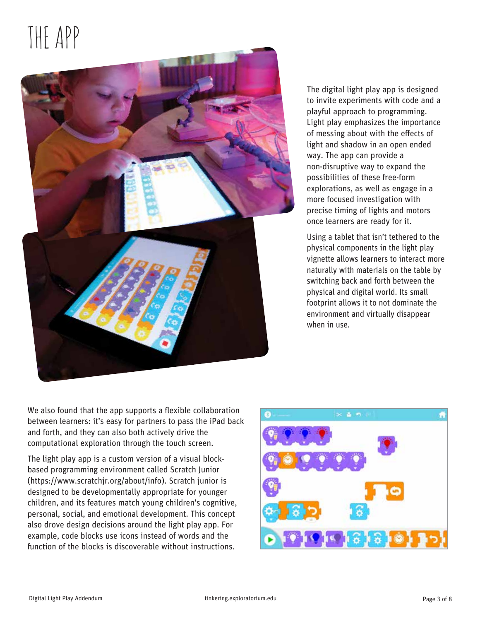# THE APP



The digital light play app is designed to invite experiments with code and a playful approach to programming. Light play emphasizes the importance of messing about with the effects of light and shadow in an open ended way. The app can provide a non-disruptive way to expand the possibilities of these free-form explorations, as well as engage in a more focused investigation with precise timing of lights and motors once learners are ready for it.

Using a tablet that isn't tethered to the physical components in the light play vignette allows learners to interact more naturally with materials on the table by switching back and forth between the physical and digital world. Its small footprint allows it to not dominate the environment and virtually disappear when in use.

We also found that the app supports a flexible collaboration between learners: it's easy for partners to pass the iPad back and forth, and they can also both actively drive the computational exploration through the touch screen.

The light play app is a custom version of a visual blockbased programming environment called Scratch Junior (https://www.scratchjr.org/about/info). Scratch junior is designed to be developmentally appropriate for younger children, and its features match young children's cognitive, personal, social, and emotional development. This concept also drove design decisions around the light play app. For example, code blocks use icons instead of words and the function of the blocks is discoverable without instructions.

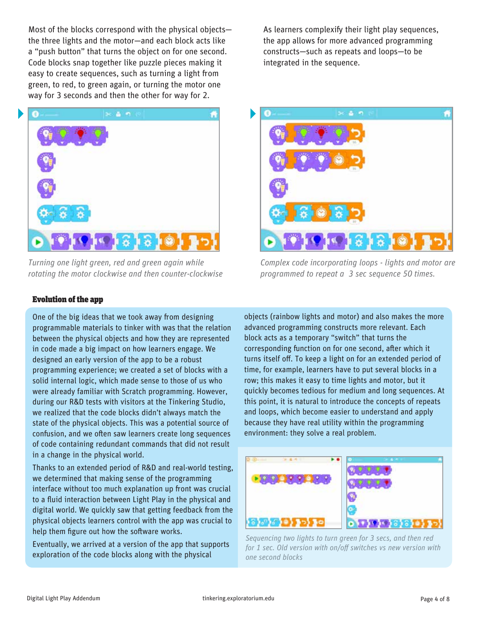Most of the blocks correspond with the physical objects the three lights and the motor—and each block acts like a "push button" that turns the object on for one second. Code blocks snap together like puzzle pieces making it easy to create sequences, such as turning a light from green, to red, to green again, or turning the motor one way for 3 seconds and then the other for way for 2.



*Turning one light green, red and green again while rotating the motor clockwise and then counter-clockwise*

Evolution of the app

One of the big ideas that we took away from designing programmable materials to tinker with was that the relation between the physical objects and how they are represented in code made a big impact on how learners engage. We designed an early version of the app to be a robust programming experience; we created a set of blocks with a solid internal logic, which made sense to those of us who were already familiar with Scratch programming. However, during our R&D tests with visitors at the Tinkering Studio, we realized that the code blocks didn't always match the state of the physical objects. This was a potential source of confusion, and we often saw learners create long sequences of code containing redundant commands that did not result in a change in the physical world.

Thanks to an extended period of R&D and real-world testing, we determined that making sense of the programming interface without too much explanation up front was crucial to a fluid interaction between Light Play in the physical and digital world. We quickly saw that getting feedback from the physical objects learners control with the app was crucial to help them figure out how the software works.

Eventually, we arrived at a version of the app that supports exploration of the code blocks along with the physical

As learners complexify their light play sequences, the app allows for more advanced programming constructs—such as repeats and loops—to be integrated in the sequence.



*Complex code incorporating loops - lights and motor are programmed to repeat a 3 sec sequence 50 times.* 

objects (rainbow lights and motor) and also makes the more advanced programming constructs more relevant. Each block acts as a temporary "switch" that turns the corresponding function on for one second, after which it turns itself off. To keep a light on for an extended period of time, for example, learners have to put several blocks in a row; this makes it easy to time lights and motor, but it quickly becomes tedious for medium and long sequences. At this point, it is natural to introduce the concepts of repeats and loops, which become easier to understand and apply because they have real utility within the programming environment: they solve a real problem.



*Sequencing two lights to turn green for 3 secs, and then red*  for 1 sec. Old version with on/off switches vs new version with *one second blocks*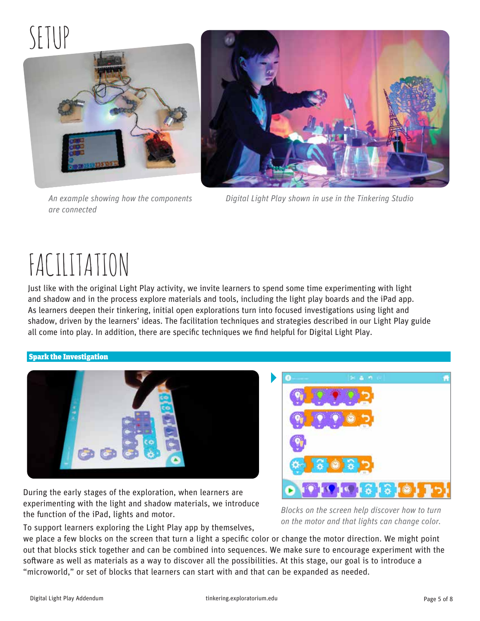### $\setminus\}$



*are connected*



*An example showing how the components Digital Light Play shown in use in the Tinkering Studio* 

### FACILITATION

Just like with the original Light Play activity, we invite learners to spend some time experimenting with light and shadow and in the process explore materials and tools, including the light play boards and the iPad app. As learners deepen their tinkering, initial open explorations turn into focused investigations using light and shadow, driven by the learners' ideas. The facilitation techniques and strategies described in our Light Play guide all come into play. In addition, there are specific techniques we find helpful for Digital Light Play.

#### Spark the Investigation



During the early stages of the exploration, when learners are experimenting with the light and shadow materials, we introduce the function of the iPad, lights and motor.



*Blocks on the screen help discover how to turn on the motor and that lights can change color.*

To support learners exploring the Light Play app by themselves,

we place a few blocks on the screen that turn a light a specific color or change the motor direction. We might point out that blocks stick together and can be combined into sequences. We make sure to encourage experiment with the software as well as materials as a way to discover all the possibilities. At this stage, our goal is to introduce a "microworld," or set of blocks that learners can start with and that can be expanded as needed.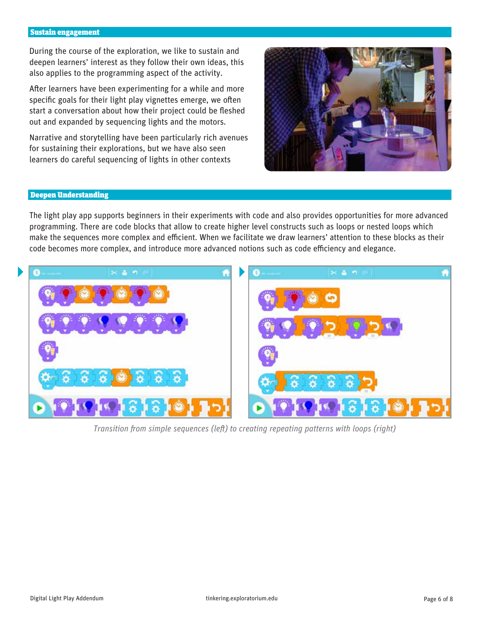#### Sustain engagement

During the course of the exploration, we like to sustain and deepen learners' interest as they follow their own ideas, this also applies to the programming aspect of the activity.

After learners have been experimenting for a while and more specific goals for their light play vignettes emerge, we often start a conversation about how their project could be fleshed out and expanded by sequencing lights and the motors.

Narrative and storytelling have been particularly rich avenues for sustaining their explorations, but we have also seen learners do careful sequencing of lights in other contexts



#### Deepen Understanding

The light play app supports beginners in their experiments with code and also provides opportunities for more advanced programming. There are code blocks that allow to create higher level constructs such as loops or nested loops which make the sequences more complex and efficient. When we facilitate we draw learners' attention to these blocks as their code becomes more complex, and introduce more advanced notions such as code efficiency and elegance.



*Transition from simple sequences (left) to creating repeating patterns with loops (right)*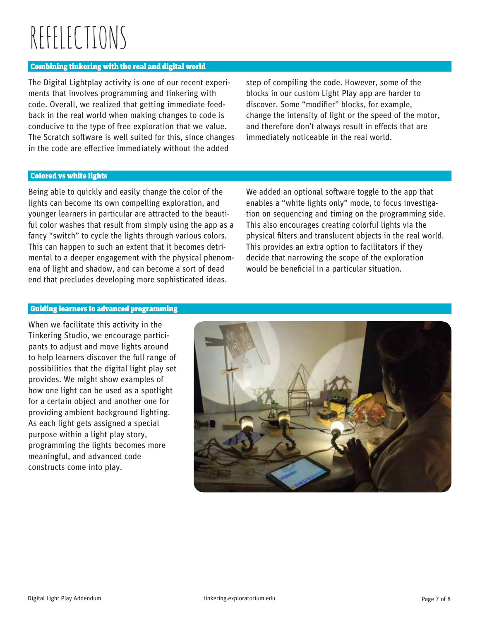# REFELECTIONS

#### Combining tinkering with the real and digital world

The Digital Lightplay activity is one of our recent experiments that involves programming and tinkering with code. Overall, we realized that getting immediate feedback in the real world when making changes to code is conducive to the type of free exploration that we value. The Scratch software is well suited for this, since changes in the code are effective immediately without the added

step of compiling the code. However, some of the blocks in our custom Light Play app are harder to discover. Some "modifier" blocks, for example, change the intensity of light or the speed of the motor, and therefore don't always result in effects that are immediately noticeable in the real world.

#### Colored vs white lights

Being able to quickly and easily change the color of the lights can become its own compelling exploration, and younger learners in particular are attracted to the beauti ful color washes that result from simply using the app as a fancy "switch" to cycle the lights through various colors. This can happen to such an extent that it becomes detrimental to a deeper engagement with the physical phenomena of light and shadow, and can become a sort of dead end that precludes developing more sophisticated ideas.

We added an optional software toggle to the app that enables a "white lights only" mode, to focus investigation on sequencing and timing on the programming side. This also encourages creating colorful lights via the physical filters and translucent objects in the real world. This provides an extra option to facilitators if they decide that narrowing the scope of the exploration would be beneficial in a particular situation.

#### Guiding learners to advanced programming

When we facilitate this activity in the Tinkering Studio, we encourage participants to adjust and move lights around to help learners discover the full range of possibilities that the digital light play set provides. We might show examples of how one light can be used as a spotlight for a certain object and another one for providing ambient background lighting. As each light gets assigned a special purpose within a light play story, programming the lights becomes more meaningful, and advanced code constructs come into play.